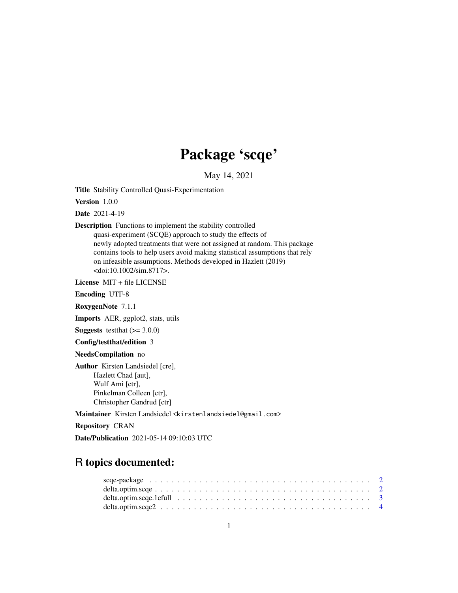## Package 'scqe'

May 14, 2021

Title Stability Controlled Quasi-Experimentation

Version 1.0.0

Date 2021-4-19

Description Functions to implement the stability controlled

quasi-experiment (SCQE) approach to study the effects of newly adopted treatments that were not assigned at random. This package contains tools to help users avoid making statistical assumptions that rely on infeasible assumptions. Methods developed in Hazlett (2019) <doi:10.1002/sim.8717>.

License MIT + file LICENSE

Encoding UTF-8

RoxygenNote 7.1.1

Imports AER, ggplot2, stats, utils

**Suggests** testthat  $(>= 3.0.0)$ 

Config/testthat/edition 3

NeedsCompilation no

Author Kirsten Landsiedel [cre], Hazlett Chad [aut], Wulf Ami [ctr], Pinkelman Colleen [ctr], Christopher Gandrud [ctr]

Maintainer Kirsten Landsiedel <kirstenlandsiedel@gmail.com>

Repository CRAN

Date/Publication 2021-05-14 09:10:03 UTC

## R topics documented: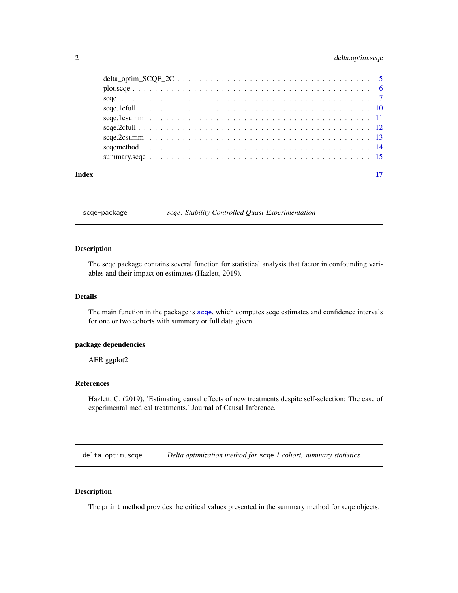## <span id="page-1-0"></span>2 delta.optim.scqe

| Index |  |
|-------|--|
|       |  |
|       |  |
|       |  |
|       |  |
|       |  |
|       |  |
|       |  |
|       |  |
|       |  |

scqe-package *scqe: Stability Controlled Quasi-Experimentation*

#### Description

The scqe package contains several function for statistical analysis that factor in confounding variables and their impact on estimates (Hazlett, 2019).

#### Details

The main function in the package is [scqe](#page-6-1), which computes scqe estimates and confidence intervals for one or two cohorts with summary or full data given.

#### package dependencies

AER ggplot2

#### References

Hazlett, C. (2019), 'Estimating causal effects of new treatments despite self-selection: The case of experimental medical treatments.' Journal of Causal Inference.

delta.optim.scqe *Delta optimization method for* scqe *1 cohort, summary statistics*

#### Description

The print method provides the critical values presented in the summary method for scqe objects.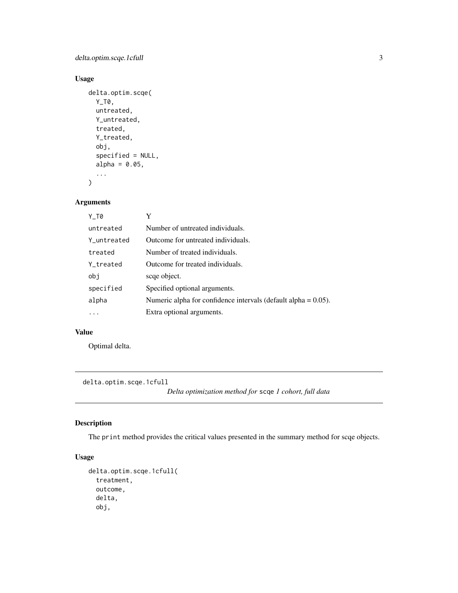## <span id="page-2-0"></span>delta.optim.scqe.1cfull 3

## Usage

```
delta.optim.scqe(
  Y_T0,
  untreated,
  Y_untreated,
  treated,
  Y_treated,
  obj,
  specified = NULL,
  alpha = 0.05,
  ...
\mathcal{L}
```
## Arguments

| Y T0        | Y                                                                 |
|-------------|-------------------------------------------------------------------|
| untreated   | Number of untreated individuals.                                  |
| Y untreated | Outcome for untreated individuals.                                |
| treated     | Number of treated individuals.                                    |
| Y treated   | Outcome for treated individuals.                                  |
| obj         | scqe object.                                                      |
| specified   | Specified optional arguments.                                     |
| alpha       | Numeric alpha for confidence intervals (default alpha $= 0.05$ ). |
| $\cdot$     | Extra optional arguments.                                         |

#### Value

Optimal delta.

delta.optim.scqe.1cfull

*Delta optimization method for* scqe *1 cohort, full data*

## Description

The print method provides the critical values presented in the summary method for scqe objects.

```
delta.optim.scqe.1cfull(
  treatment,
  outcome,
  delta,
  obj,
```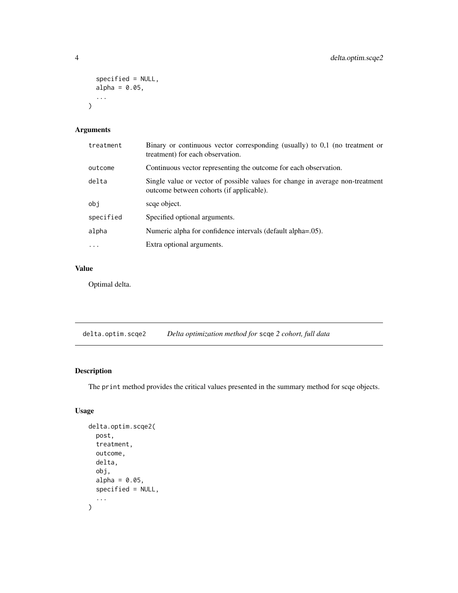```
specified = NULL,
  alpha = 0.05,
  ...
\mathcal{L}
```

| treatment | Binary or continuous vector corresponding (usually) to $0,1$ (no treatment or<br>treatment) for each observation.         |
|-----------|---------------------------------------------------------------------------------------------------------------------------|
| outcome   | Continuous vector representing the outcome for each observation.                                                          |
| delta     | Single value or vector of possible values for change in average non-treatment<br>outcome between cohorts (if applicable). |
| obi       | scae object.                                                                                                              |
| specified | Specified optional arguments.                                                                                             |
| alpha     | Numeric alpha for confidence intervals (default alpha=.05).                                                               |
| $\ddots$  | Extra optional arguments.                                                                                                 |

## Value

Optimal delta.

delta.optim.scqe2 *Delta optimization method for* scqe *2 cohort, full data*

## Description

The print method provides the critical values presented in the summary method for scqe objects.

```
delta.optim.scqe2(
  post,
  treatment,
  outcome,
  delta,
  obj,
  alpha = 0.05,
  specified = NULL,
  ...
\mathcal{L}
```
<span id="page-3-0"></span>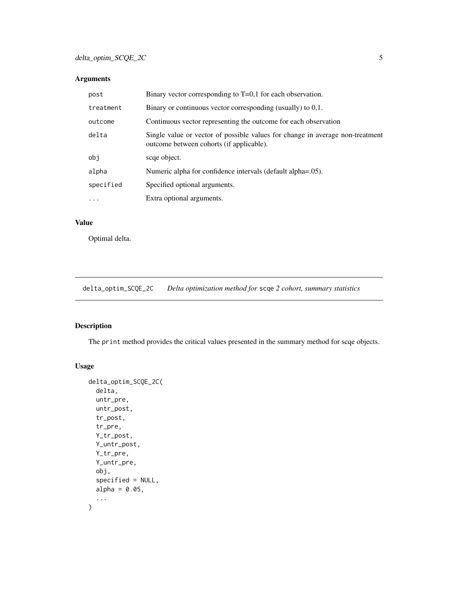<span id="page-4-0"></span>

| post      | Binary vector corresponding to $T=0,1$ for each observation.                                                              |
|-----------|---------------------------------------------------------------------------------------------------------------------------|
| treatment | Binary or continuous vector corresponding (usually) to $0,1$ .                                                            |
| outcome   | Continuous vector representing the outcome for each observation                                                           |
| delta     | Single value or vector of possible values for change in average non-treatment<br>outcome between cohorts (if applicable). |
| obj       | scqe object.                                                                                                              |
| alpha     | Numeric alpha for confidence intervals (default alpha=.05).                                                               |
| specified | Specified optional arguments.                                                                                             |
| $\ddots$  | Extra optional arguments.                                                                                                 |

## Value

Optimal delta.

delta\_optim\_SCQE\_2C *Delta optimization method for* scqe *2 cohort, summary statistics*

## Description

The print method provides the critical values presented in the summary method for scqe objects.

```
delta_optim_SCQE_2C(
  delta,
  untr_pre,
  untr_post,
  tr_post,
  tr_pre,
  Y_tr_post,
  Y_untr_post,
  Y_tr_pre,
  Y_untr_pre,
  obj,
  specified = NULL,
  alpha = 0.05,
  ...
\mathcal{L}
```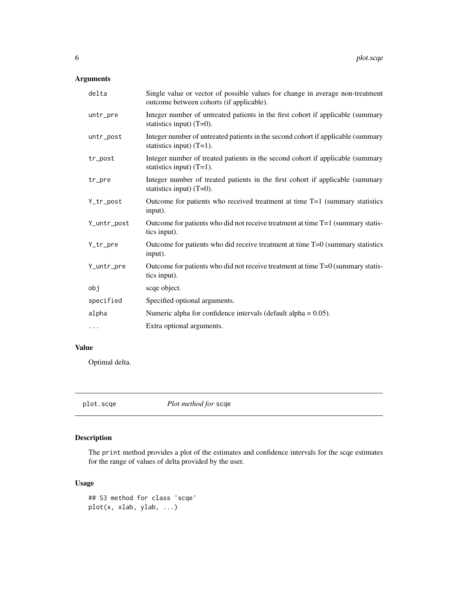<span id="page-5-0"></span>

| delta       | Single value or vector of possible values for change in average non-treatment<br>outcome between cohorts (if applicable). |
|-------------|---------------------------------------------------------------------------------------------------------------------------|
| untr_pre    | Integer number of untreated patients in the first cohort if applicable (summary<br>statistics input) $(T=0)$ .            |
| untr_post   | Integer number of untreated patients in the second cohort if applicable (summary<br>statistics input) $(T=1)$ .           |
| tr_post     | Integer number of treated patients in the second cohort if applicable (summary<br>statistics input) $(T=1)$ .             |
| tr_pre      | Integer number of treated patients in the first cohort if applicable (summary<br>statistics input) $(T=0)$ .              |
| Y_tr_post   | Outcome for patients who received treatment at time $T=1$ (summary statistics<br>input).                                  |
| Y_untr_post | Outcome for patients who did not receive treatment at time T=1 (summary statis-<br>tics input).                           |
| Y_tr_pre    | Outcome for patients who did receive treatment at time $T=0$ (summary statistics<br>input).                               |
| Y_untr_pre  | Outcome for patients who did not receive treatment at time $T=0$ (summary statis-<br>tics input).                         |
| obj         | scqe object.                                                                                                              |
| specified   | Specified optional arguments.                                                                                             |
| alpha       | Numeric alpha for confidence intervals (default alpha = $0.05$ ).                                                         |
| $\cdots$    | Extra optional arguments.                                                                                                 |

## Value

Optimal delta.

plot.scqe *Plot method for* scqe

## Description

The print method provides a plot of the estimates and confidence intervals for the scqe estimates for the range of values of delta provided by the user.

```
## S3 method for class 'scqe'
plot(x, xlab, ylab, ...)
```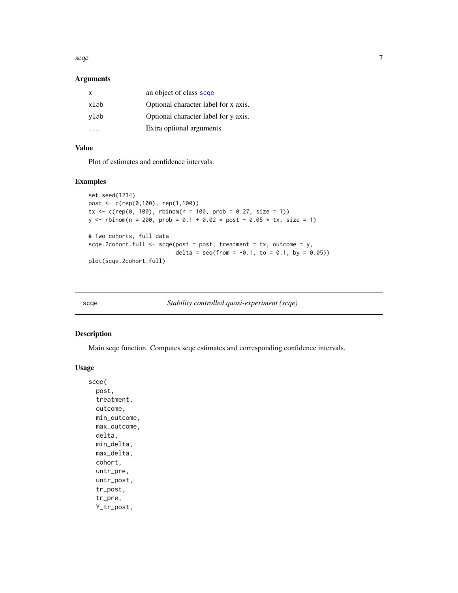<span id="page-6-0"></span>scqe i and the second second second second second second second second second second second second second second second second second second second second second second second second second second second second second seco

#### Arguments

| $\mathsf{x}$ | an object of class scqe              |
|--------------|--------------------------------------|
| xlab         | Optional character label for x axis. |
| ylab         | Optional character label for y axis. |
|              | Extra optional arguments             |

## Value

Plot of estimates and confidence intervals.

#### Examples

```
set.seed(1234)
post <- c(rep(0,100), rep(1,100))
tx < -c(rep(\theta, 100), rhinom(n = 100, prob = 0.27, size = 1))y \le - rbinom(n = 200, prob = 0.1 + 0.02 * post - 0.05 * tx, size = 1)
# Two cohorts, full data
sce.2cohort.full \leftarrow sce(post = post, treatment = tx, outcome = y,delta = seq(from = -0.1, to = 0.1, by = 0.05)plot(scqe.2cohort.full)
```
<span id="page-6-1"></span>

scqe *Stability controlled quasi-experiment (scqe)*

#### Description

Main scqe function. Computes scqe estimates and corresponding confidence intervals.

#### Usage

scqe( post, treatment, outcome, min\_outcome, max\_outcome, delta, min\_delta, max\_delta, cohort, untr\_pre, untr\_post, tr\_post, tr\_pre, Y\_tr\_post,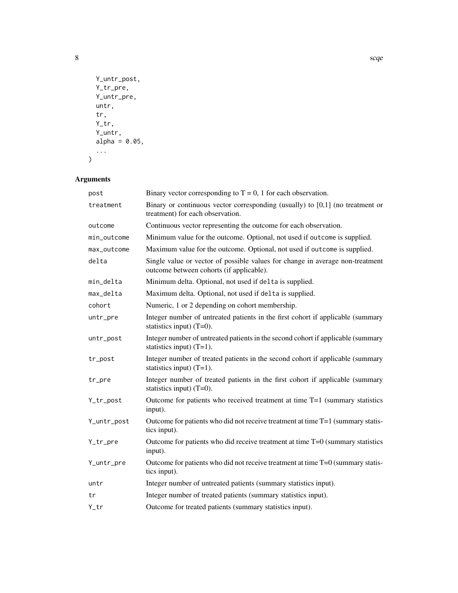```
Y_untr_post,
  Y_tr_pre,
  Y_untr_pre,
  untr,
  tr,
  Y_tr,
  Y_untr,
  alpha = 0.05,
  ...
\lambda
```

| post        | Binary vector corresponding to $T = 0$ , 1 for each observation.                                                          |
|-------------|---------------------------------------------------------------------------------------------------------------------------|
| treatment   | Binary or continuous vector corresponding (usually) to $[0,1]$ (no treatment or<br>treatment) for each observation.       |
| outcome     | Continuous vector representing the outcome for each observation.                                                          |
| min_outcome | Minimum value for the outcome. Optional, not used if outcome is supplied.                                                 |
| max_outcome | Maximum value for the outcome. Optional, not used if outcome is supplied.                                                 |
| delta       | Single value or vector of possible values for change in average non-treatment<br>outcome between cohorts (if applicable). |
| min_delta   | Minimum delta. Optional, not used if delta is supplied.                                                                   |
| max_delta   | Maximum delta. Optional, not used if delta is supplied.                                                                   |
| cohort      | Numeric, 1 or 2 depending on cohort membership.                                                                           |
| untr_pre    | Integer number of untreated patients in the first cohort if applicable (summary<br>statistics input) $(T=0)$ .            |
| untr_post   | Integer number of untreated patients in the second cohort if applicable (summary<br>statistics input) $(T=1)$ .           |
| tr_post     | Integer number of treated patients in the second cohort if applicable (summary<br>statistics input) $(T=1)$ .             |
| tr_pre      | Integer number of treated patients in the first cohort if applicable (summary<br>statistics input) $(T=0)$ .              |
| Y_tr_post   | Outcome for patients who received treatment at time $T=1$ (summary statistics<br>input).                                  |
| Y_untr_post | Outcome for patients who did not receive treatment at time T=1 (summary statis-<br>tics input).                           |
| Y_tr_pre    | Outcome for patients who did receive treatment at time $T=0$ (summary statistics<br>input).                               |
| Y_untr_pre  | Outcome for patients who did not receive treatment at time $T=0$ (summary statis-<br>tics input).                         |
| untr        | Integer number of untreated patients (summary statistics input).                                                          |
| tr          | Integer number of treated patients (summary statistics input).                                                            |
| Y_tr        | Outcome for treated patients (summary statistics input).                                                                  |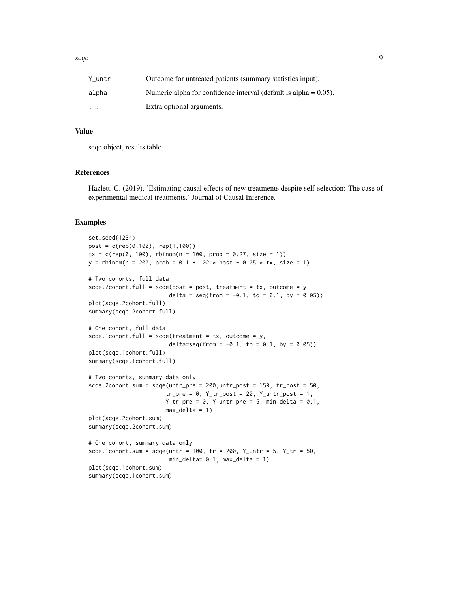| Y untr                  | Outcome for untreated patients (summary statistics input).          |
|-------------------------|---------------------------------------------------------------------|
| alpha                   | Numeric alpha for confidence interval (default is alpha $= 0.05$ ). |
| $\cdot$ $\cdot$ $\cdot$ | Extra optional arguments.                                           |

#### Value

scqe object, results table

#### References

Hazlett, C. (2019), 'Estimating causal effects of new treatments despite self-selection: The case of experimental medical treatments.' Journal of Causal Inference.

## Examples

```
set.seed(1234)
post = c(rep(0,100), rep(1,100))
tx = c(rep(\theta, 100), rhinom(n = 100, prob = 0.27, size = 1))y = rbinom(n = 200, prob = 0.1 + .02 * post - 0.05 * tx, size = 1)
# Two cohorts, full data
sce.2cohort.full = scqe(post = post, treatment = tx, outcome = y,delta = seq(from = -0.1, to = 0.1, by = 0.05)plot(scqe.2cohort.full)
summary(scqe.2cohort.full)
# One cohort, full data
scqe.1cohort.full = scqe(treatment = tx, outcome = y,
                        delta=seq(from = -0.1, to = 0.1, by = 0.05))
plot(scqe.1cohort.full)
summary(scqe.1cohort.full)
# Two cohorts, summary data only
scqe.2cohort.sum = scqe(untr_pre = 200,untr_post = 150, tr_post = 50,
                       tr\_pre = 0, Y\_tr\_post = 20, Y\_untr\_post = 1,
                       Y_tr\_pre = 0, Y_lurt\_pre = 5, min\_delta = 0.1,
                       max\_delta = 1)plot(scqe.2cohort.sum)
summary(scqe.2cohort.sum)
# One cohort, summary data only
scqe.1cohort.sum = scqe(untr = 100, tr = 200, Y_untr = 5, Y_tr = 50,
                        min_delta= 0.1, max_delta = 1)
plot(scqe.1cohort.sum)
summary(scqe.1cohort.sum)
```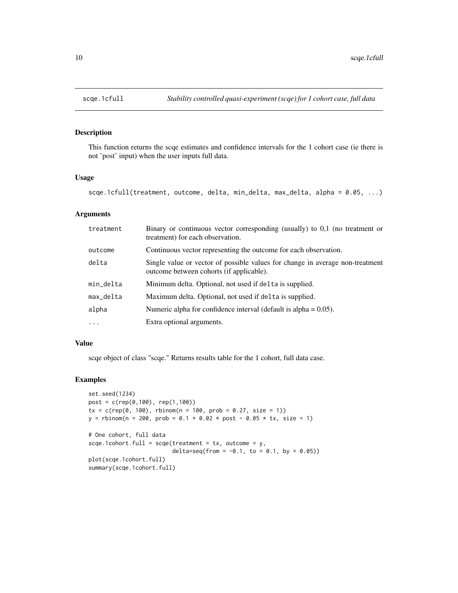## Description

This function returns the scqe estimates and confidence intervals for the 1 cohort case (ie there is not 'post' input) when the user inputs full data.

#### Usage

```
scqe.1cfull(treatment, outcome, delta, min_delta, max_delta, alpha = 0.05, ...)
```
## Arguments

| treatment | Binary or continuous vector corresponding (usually) to 0,1 (no treatment or<br>treatment) for each observation.           |
|-----------|---------------------------------------------------------------------------------------------------------------------------|
| outcome   | Continuous vector representing the outcome for each observation.                                                          |
| delta     | Single value or vector of possible values for change in average non-treatment<br>outcome between cohorts (if applicable). |
| min_delta | Minimum delta. Optional, not used if delta is supplied.                                                                   |
| max_delta | Maximum delta. Optional, not used if delta is supplied.                                                                   |
| alpha     | Numeric alpha for confidence interval (default is alpha $= 0.05$ ).                                                       |
| $\ddotsc$ | Extra optional arguments.                                                                                                 |

#### Value

scqe object of class "scqe." Returns results table for the 1 cohort, full data case.

#### Examples

```
set.seed(1234)
post = c(rep(0,100), rep(1,100))
tx = c(rep(\theta, 100), rbinom(n = 100, prob = 0.27, size = 1))
y = rbinom(n = 200, prob = 0.1 + 0.02 * post - 0.05 * tx, size = 1)
# One cohort, full data
scqe.1cohort.full = scqe(treatment = tx, outcome = y,
                         delta=seq(from = -0.1, to = 0.1, by = 0.05))
plot(scqe.1cohort.full)
summary(scqe.1cohort.full)
```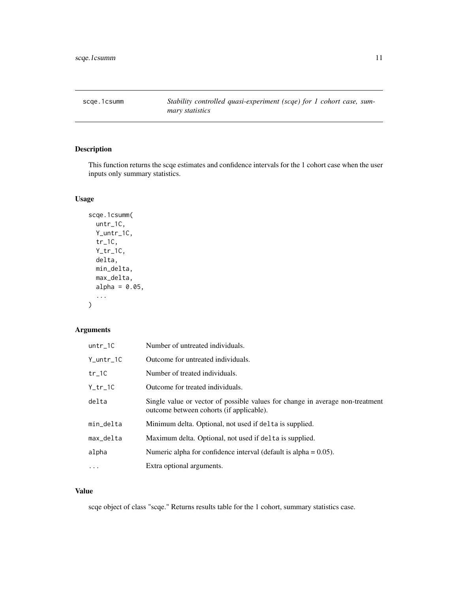<span id="page-10-0"></span>scqe.1csumm *Stability controlled quasi-experiment (scqe) for 1 cohort case, summary statistics*

## Description

This function returns the scqe estimates and confidence intervals for the 1 cohort case when the user inputs only summary statistics.

#### Usage

```
scqe.1csumm(
 untr_1C,
 Y_untr_1C,
 tr_1C,
 Y_tr_1C,
  delta,
 min_delta,
 max_delta,
 alpha = 0.05,
  ...
)
```
## Arguments

| $untr_1C$ | Number of untreated individuals.                                                                                          |
|-----------|---------------------------------------------------------------------------------------------------------------------------|
| Y_untr_1C | Outcome for untreated individuals.                                                                                        |
| tr_1C     | Number of treated individuals.                                                                                            |
| Y_tr_1C   | Outcome for treated individuals.                                                                                          |
| delta     | Single value or vector of possible values for change in average non-treatment<br>outcome between cohorts (if applicable). |
| min_delta | Minimum delta. Optional, not used if delta is supplied.                                                                   |
| max_delta | Maximum delta. Optional, not used if delta is supplied.                                                                   |
| alpha     | Numeric alpha for confidence interval (default is alpha $= 0.05$ ).                                                       |
| $\cdots$  | Extra optional arguments.                                                                                                 |

## Value

scqe object of class "scqe." Returns results table for the 1 cohort, summary statistics case.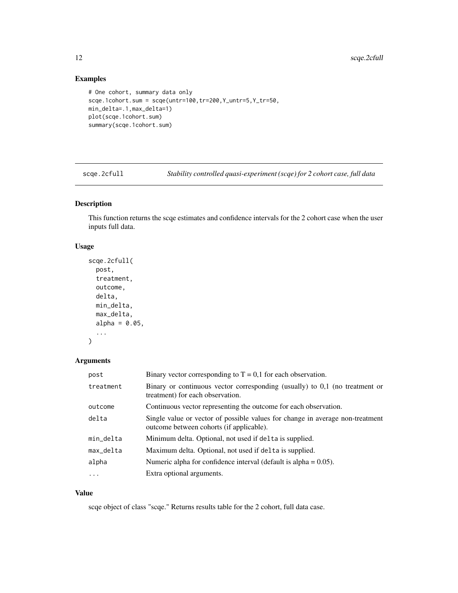## Examples

```
# One cohort, summary data only
scqe.1cohort.sum = scqe(untr=100,tr=200,Y_untr=5,Y_tr=50,
min_delta=.1,max_delta=1)
plot(scqe.1cohort.sum)
summary(scqe.1cohort.sum)
```
scqe.2cfull *Stability controlled quasi-experiment (scqe) for 2 cohort case, full data*

## Description

This function returns the scqe estimates and confidence intervals for the 2 cohort case when the user inputs full data.

#### Usage

```
scqe.2cfull(
 post,
  treatment,
  outcome,
  delta,
 min_delta,
 max_delta,
 alpha = 0.05,
  ...
```

```
)
```
#### Arguments

| post       | Binary vector corresponding to $T = 0.1$ for each observation.                                                            |
|------------|---------------------------------------------------------------------------------------------------------------------------|
| treatment  | Binary or continuous vector corresponding (usually) to 0,1 (no treatment or<br>treatment) for each observation.           |
| outcome    | Continuous vector representing the outcome for each observation.                                                          |
| delta      | Single value or vector of possible values for change in average non-treatment<br>outcome between cohorts (if applicable). |
| min_delta  | Minimum delta. Optional, not used if delta is supplied.                                                                   |
| max_delta  | Maximum delta. Optional, not used if delta is supplied.                                                                   |
| alpha      | Numeric alpha for confidence interval (default is alpha $= 0.05$ ).                                                       |
| $\ddots$ . | Extra optional arguments.                                                                                                 |

### Value

scqe object of class "scqe." Returns results table for the 2 cohort, full data case.

<span id="page-11-0"></span>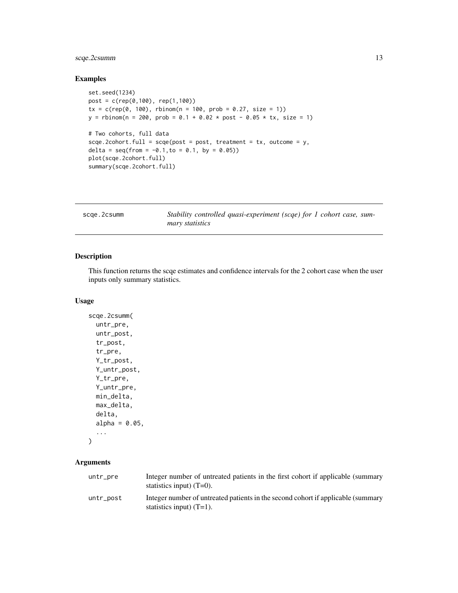## <span id="page-12-0"></span>scqe.2csumm 13

## Examples

```
set.seed(1234)
post = c(rep(0,100), rep(1,100))
tx = c(rep(\theta, 100), rbinom(n = 100, prob = 0.27, size = 1))
y = rbinom(n = 200, prob = 0.1 + 0.02 * post - 0.05 * tx, size = 1)
# Two cohorts, full data
scqe.2cohort.full = scqe(post = post, treatment = tx, outcome = y,
delta = seq(from = -0.1, to = 0.1, by = 0.05)plot(scqe.2cohort.full)
summary(scqe.2cohort.full)
```

| scae.2csumm | Stability controlled quasi-experiment (scqe) for 1 cohort case, sum- |
|-------------|----------------------------------------------------------------------|
|             | <i>mary statistics</i>                                               |

#### Description

This function returns the scqe estimates and confidence intervals for the 2 cohort case when the user inputs only summary statistics.

#### Usage

```
scqe.2csumm(
 untr_pre,
 untr_post,
 tr_post,
  tr_pre,
 Y_tr_post,
 Y_untr_post,
 Y_tr_pre,
 Y_untr_pre,
 min_delta,
 max_delta,
 delta,
  alpha = 0.05,
  ...
```

```
\mathcal{L}
```
## Arguments

| untr_pre  | Integer number of untreated patients in the first cohort if applicable (summary<br>statistics input) $(T=0)$ .  |
|-----------|-----------------------------------------------------------------------------------------------------------------|
| untr post | Integer number of untreated patients in the second cohort if applicable (summary<br>statistics input) $(T=1)$ . |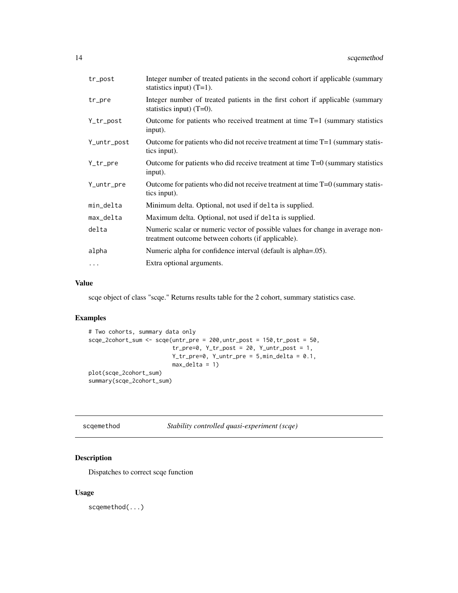<span id="page-13-0"></span>

| tr_post     | Integer number of treated patients in the second cohort if applicable (summary<br>statistics input) $(T=1)$ .                        |
|-------------|--------------------------------------------------------------------------------------------------------------------------------------|
| tr_pre      | Integer number of treated patients in the first cohort if applicable (summary<br>statistics input) $(T=0)$ .                         |
| Y_tr_post   | Outcome for patients who received treatment at time $T=1$ (summary statistics<br>input).                                             |
| Y_untr_post | Outcome for patients who did not receive treatment at time $T=1$ (summary statis-<br>tics input).                                    |
| Y_tr_pre    | Outcome for patients who did receive treatment at time $T=0$ (summary statistics<br>input).                                          |
| Y_untr_pre  | Outcome for patients who did not receive treatment at time $T=0$ (summary statis-<br>tics input).                                    |
| min_delta   | Minimum delta. Optional, not used if delta is supplied.                                                                              |
| max_delta   | Maximum delta. Optional, not used if delta is supplied.                                                                              |
| delta       | Numeric scalar or numeric vector of possible values for change in average non-<br>treatment outcome between cohorts (if applicable). |
| alpha       | Numeric alpha for confidence interval (default is alpha=.05).                                                                        |
| $\ddots$    | Extra optional arguments.                                                                                                            |

#### Value

scqe object of class "scqe." Returns results table for the 2 cohort, summary statistics case.

## Examples

```
# Two cohorts, summary data only
scqe_2cohort_sum <- scqe(untr_pre = 200,untr_post = 150,tr_post = 50,
                         tr\_pre=0, Y\_tr\_post = 20, Y\_untr\_post = 1,
                         Y_tr_pre=0, Y_untr_pre = 5,min_delta = 0.1,
                         max_delta = 1)
plot(scqe_2cohort_sum)
summary(scqe_2cohort_sum)
```

| scgemethod | Stability controlled quasi-experiment (scqe) |
|------------|----------------------------------------------|
|            |                                              |

## Description

Dispatches to correct scqe function

## Usage

scqemethod(...)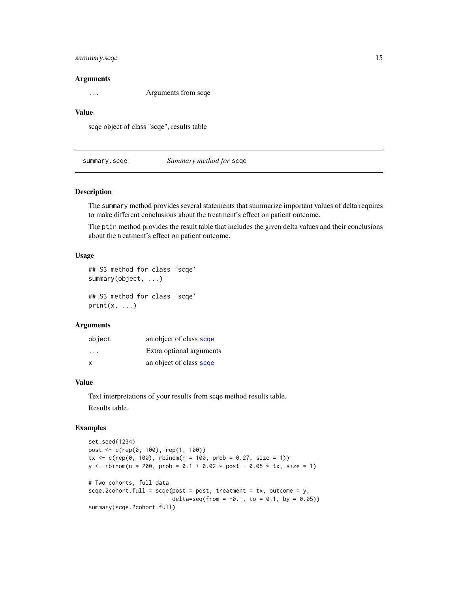## <span id="page-14-0"></span>summary.scqe 15

#### Arguments

... Arguments from scqe

#### Value

scqe object of class "scqe", results table

summary.scqe *Summary method for* scqe

#### Description

The summary method provides several statements that summarize important values of delta requires to make different conclusions about the treatment's effect on patient outcome.

The ptin method provides the result table that includes the given delta values and their conclusions about the treatment's effect on patient outcome.

#### Usage

```
## S3 method for class 'scqe'
summary(object, ...)
```
## S3 method for class 'scqe'  $print(x, \ldots)$ 

#### Arguments

| object | an object of class scqe  |
|--------|--------------------------|
| .      | Extra optional arguments |
| X      | an object of class scqe  |

#### Value

Text interpretations of your results from scqe method results table. Results table.

#### Examples

```
set.seed(1234)
post <- c(rep(0, 100), rep(1, 100))
tx < -c(rep(\theta, 100), rbinom(n = 100, prob = 0.27, size = 1))
y \le - rbinom(n = 200, prob = 0.1 + 0.02 * post - 0.05 * tx, size = 1)
# Two cohorts, full data
sce, 2\text{cohort}.full = \text{scqe}(\text{post} = \text{post}, \text{treatment} = \text{tx}, \text{outcome} = \text{y},delta=seq(from = -0.1, to = 0.1, by = 0.05))
summary(scqe.2cohort.full)
```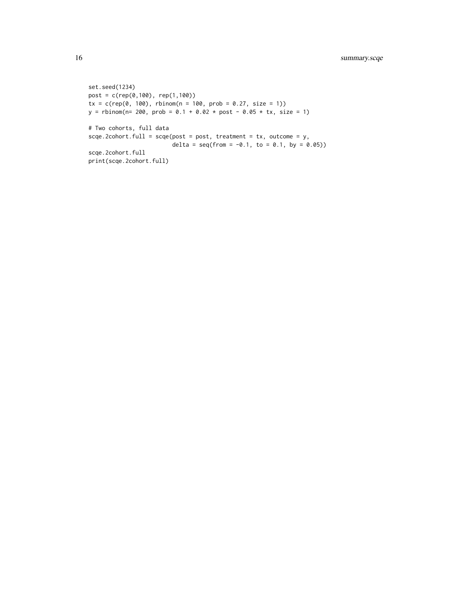```
set.seed(1234)
post = c(rep(0,100), rep(1,100))
tx = c(rep(\theta, 100), rhinom(n = 100, prob = 0.27, size = 1))y = rbinom(n= 200, prob = 0.1 + 0.02 * post - 0.05 * tx, size = 1)
# Two cohorts, full data
scqe.2cohort.full = scqe(post = post, treatment = tx, outcome = y,
                         delta = seq(from = -0.1, to = 0.1, by = 0.05)scqe.2cohort.full
print(scqe.2cohort.full)
```